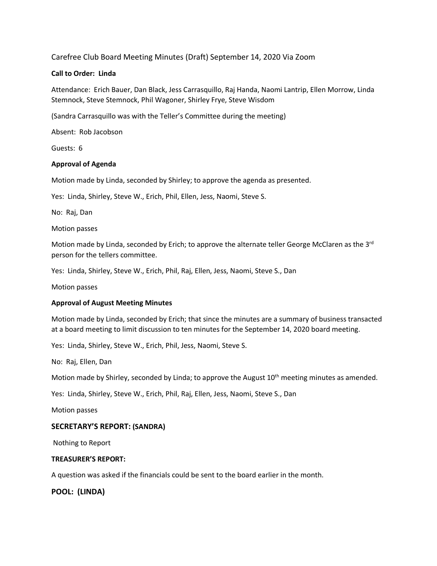# Carefree Club Board Meeting Minutes (Draft) September 14, 2020 Via Zoom

## **Call to Order: Linda**

Attendance: Erich Bauer, Dan Black, Jess Carrasquillo, Raj Handa, Naomi Lantrip, Ellen Morrow, Linda Stemnock, Steve Stemnock, Phil Wagoner, Shirley Frye, Steve Wisdom

(Sandra Carrasquillo was with the Teller's Committee during the meeting)

Absent: Rob Jacobson

Guests: 6

## **Approval of Agenda**

Motion made by Linda, seconded by Shirley; to approve the agenda as presented.

Yes: Linda, Shirley, Steve W., Erich, Phil, Ellen, Jess, Naomi, Steve S.

No: Raj, Dan

Motion passes

Motion made by Linda, seconded by Erich; to approve the alternate teller George McClaren as the  $3^{rd}$ person for the tellers committee.

Yes: Linda, Shirley, Steve W., Erich, Phil, Raj, Ellen, Jess, Naomi, Steve S., Dan

Motion passes

#### **Approval of August Meeting Minutes**

Motion made by Linda, seconded by Erich; that since the minutes are a summary of business transacted at a board meeting to limit discussion to ten minutes for the September 14, 2020 board meeting.

Yes: Linda, Shirley, Steve W., Erich, Phil, Jess, Naomi, Steve S.

No: Raj, Ellen, Dan

Motion made by Shirley, seconded by Linda; to approve the August 10<sup>th</sup> meeting minutes as amended.

Yes: Linda, Shirley, Steve W., Erich, Phil, Raj, Ellen, Jess, Naomi, Steve S., Dan

Motion passes

# **SECRETARY'S REPORT: (SANDRA)**

Nothing to Report

#### **TREASURER'S REPORT:**

A question was asked if the financials could be sent to the board earlier in the month.

**POOL: (LINDA)**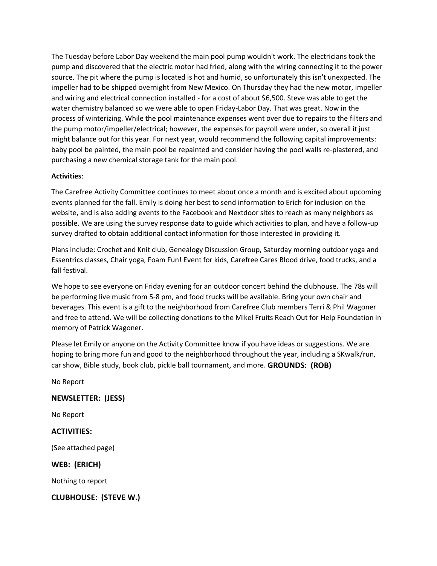The Tuesday before Labor Day weekend the main pool pump wouldn't work. The electricians took the pump and discovered that the electric motor had fried, along with the wiring connecting it to the power source. The pit where the pump is located is hot and humid, so unfortunately this isn't unexpected. The impeller had to be shipped overnight from New Mexico. On Thursday they had the new motor, impeller and wiring and electrical connection installed - for a cost of about \$6,500. Steve was able to get the water chemistry balanced so we were able to open Friday-Labor Day. That was great. Now in the process of winterizing. While the pool maintenance expenses went over due to repairs to the filters and the pump motor/impeller/electrical; however, the expenses for payroll were under, so overall it just might balance out for this year. For next year, would recommend the following capital improvements: baby pool be painted, the main pool be repainted and consider having the pool walls re-plastered, and purchasing a new chemical storage tank for the main pool.

# **Activities**:

The Carefree Activity Committee continues to meet about once a month and is excited about upcoming events planned for the fall. Emily is doing her best to send information to Erich for inclusion on the website, and is also adding events to the Facebook and Nextdoor sites to reach as many neighbors as possible. We are using the survey response data to guide which activities to plan, and have a follow-up survey drafted to obtain additional contact information for those interested in providing it.

Plans include: Crochet and Knit club, Genealogy Discussion Group, Saturday morning outdoor yoga and Essentrics classes, Chair yoga, Foam Fun! Event for kids, Carefree Cares Blood drive, food trucks, and a fall festival.

We hope to see everyone on Friday evening for an outdoor concert behind the clubhouse. The 78s will be performing live music from 5-8 pm, and food trucks will be available. Bring your own chair and beverages. This event is a gift to the neighborhood from Carefree Club members Terri & Phil Wagoner and free to attend. We will be collecting donations to the Mikel Fruits Reach Out for Help Foundation in memory of Patrick Wagoner.

Please let Emily or anyone on the Activity Committee know if you have ideas or suggestions. We are hoping to bring more fun and good to the neighborhood throughout the year, including a SKwalk/run, car show, Bible study, book club, pickle ball tournament, and more. **GROUNDS: (ROB)**

No Report

# **NEWSLETTER: (JESS)**

No Report

# **ACTIVITIES:**

(See attached page)

**WEB: (ERICH)**

Nothing to report

**CLUBHOUSE: (STEVE W.)**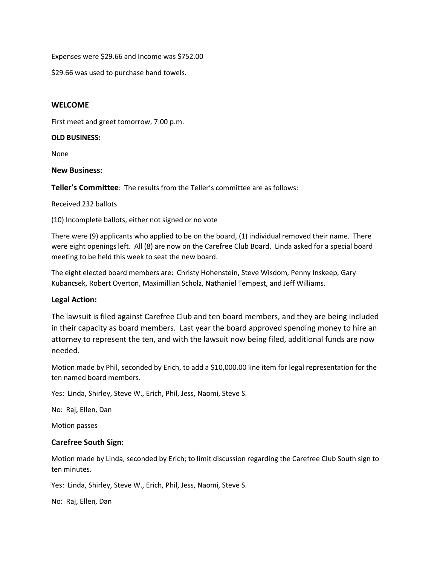Expenses were \$29.66 and Income was \$752.00

\$29.66 was used to purchase hand towels.

## **WELCOME**

First meet and greet tomorrow, 7:00 p.m.

## **OLD BUSINESS:**

None

## **New Business:**

**Teller's Committee**: The results from the Teller's committee are as follows:

## Received 232 ballots

(10) Incomplete ballots, either not signed or no vote

There were (9) applicants who applied to be on the board, (1) individual removed their name. There were eight openings left. All (8) are now on the Carefree Club Board. Linda asked for a special board meeting to be held this week to seat the new board.

The eight elected board members are: Christy Hohenstein, Steve Wisdom, Penny Inskeep, Gary Kubancsek, Robert Overton, Maximillian Scholz, Nathaniel Tempest, and Jeff Williams.

# **Legal Action:**

The lawsuit is filed against Carefree Club and ten board members, and they are being included in their capacity as board members. Last year the board approved spending money to hire an attorney to represent the ten, and with the lawsuit now being filed, additional funds are now needed.

Motion made by Phil, seconded by Erich, to add a \$10,000.00 line item for legal representation for the ten named board members.

Yes: Linda, Shirley, Steve W., Erich, Phil, Jess, Naomi, Steve S.

No: Raj, Ellen, Dan

Motion passes

# **Carefree South Sign:**

Motion made by Linda, seconded by Erich; to limit discussion regarding the Carefree Club South sign to ten minutes.

Yes: Linda, Shirley, Steve W., Erich, Phil, Jess, Naomi, Steve S.

No: Raj, Ellen, Dan